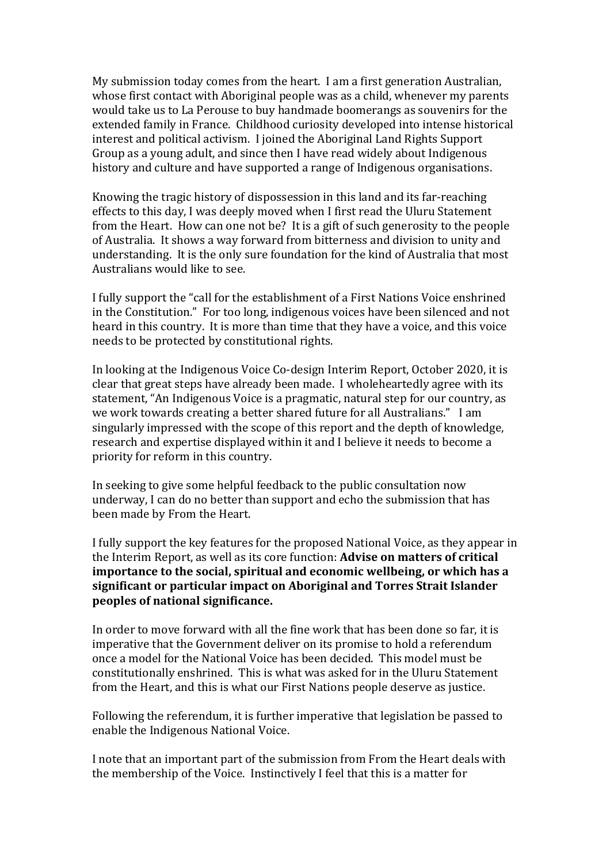My submission today comes from the heart. I am a first generation Australian, whose first contact with Aboriginal people was as a child, whenever my parents would take us to La Perouse to buy handmade boomerangs as souvenirs for the extended family in France. Childhood curiosity developed into intense historical interest and political activism. I joined the Aboriginal Land Rights Support Group as a young adult, and since then I have read widely about Indigenous history and culture and have supported a range of Indigenous organisations.

Knowing the tragic history of dispossession in this land and its far-reaching effects to this day, I was deeply moved when I first read the Uluru Statement from the Heart. How can one not be? It is a gift of such generosity to the people of Australia. It shows a way forward from bitterness and division to unity and understanding. It is the only sure foundation for the kind of Australia that most Australians would like to see.

I fully support the "call for the establishment of a First Nations Voice enshrined in the Constitution." For too long, indigenous voices have been silenced and not heard in this country. It is more than time that they have a voice, and this voice needs to be protected by constitutional rights.

In looking at the Indigenous Voice Co-design Interim Report, October 2020, it is clear that great steps have already been made. I wholeheartedly agree with its statement, "An Indigenous Voice is a pragmatic, natural step for our country, as we work towards creating a better shared future for all Australians." I am singularly impressed with the scope of this report and the depth of knowledge, research and expertise displayed within it and I believe it needs to become a priority for reform in this country.

In seeking to give some helpful feedback to the public consultation now underway, I can do no better than support and echo the submission that has been made by From the Heart.

I fully support the key features for the proposed National Voice, as they appear in the Interim Report, as well as its core function: **Advise on matters of critical importance to the social, spiritual and economic wellbeing, or which has a significant or particular impact on Aboriginal and Torres Strait Islander peoples of national significance.** 

In order to move forward with all the fine work that has been done so far, it is imperative that the Government deliver on its promise to hold a referendum once a model for the National Voice has been decided. This model must be constitutionally enshrined. This is what was asked for in the Uluru Statement from the Heart, and this is what our First Nations people deserve as justice.

Following the referendum, it is further imperative that legislation be passed to enable the Indigenous National Voice.

I note that an important part of the submission from From the Heart deals with the membership of the Voice. Instinctively I feel that this is a matter for